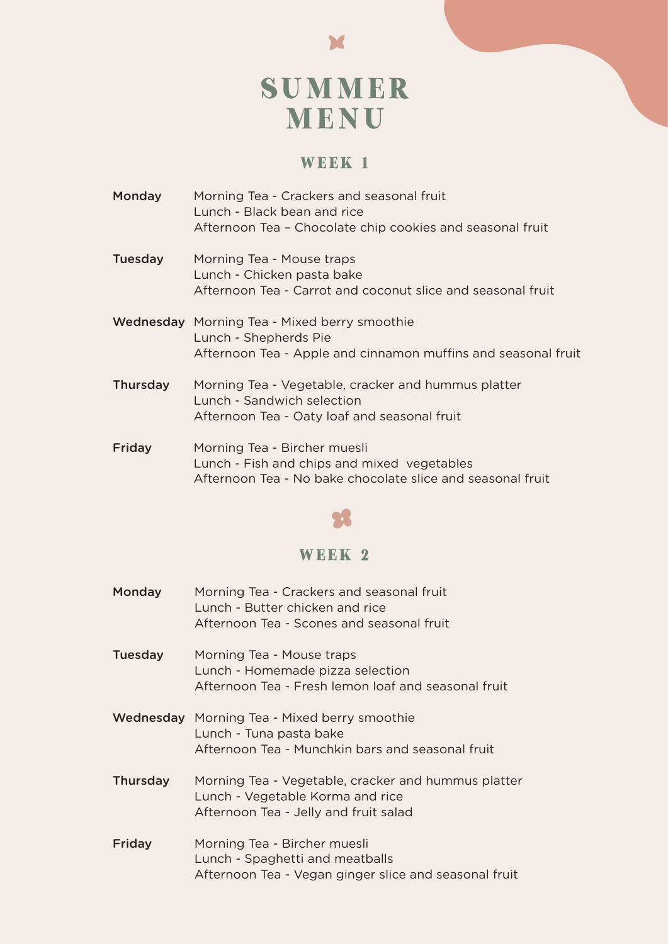# SUMMER MENU

### **WEEK 1**

- Monday Morning Tea Crackers and seasonal fruit Lunch - Black bean and rice Afternoon Tea – Chocolate chip cookies and seasonal fruit
- Tuesday Morning Tea Mouse traps Lunch - Chicken pasta bake Afternoon Tea - Carrot and coconut slice and seasonal fruit
- Wednesday Morning Tea Mixed berry smoothie Lunch - Shepherds Pie Afternoon Tea - Apple and cinnamon muffins and seasonal fruit
- Thursday Morning Tea Vegetable, cracker and hummus platter Lunch - Sandwich selection Afternoon Tea - Oaty loaf and seasonal fruit
- Friday Morning Tea Bircher muesli Lunch - Fish and chips and mixed vegetables Afternoon Tea - No bake chocolate slice and seasonal fruit



#### **WEEK 2**

Monday Morning Tea - Crackers and seasonal fruit Lunch - Butter chicken and rice Afternoon Tea - Scones and seasonal fruit Tuesday Morning Tea - Mouse traps Lunch - Homemade pizza selection Afternoon Tea - Fresh lemon loaf and seasonal fruit Wednesday Morning Tea - Mixed berry smoothie Lunch - Tuna pasta bake Afternoon Tea - Munchkin bars and seasonal fruit Thursday Morning Tea - Vegetable, cracker and hummus platter Lunch - Vegetable Korma and rice Afternoon Tea - Jelly and fruit salad Friday Morning Tea - Bircher muesli Lunch - Spaghetti and meatballs Afternoon Tea - Vegan ginger slice and seasonal fruit